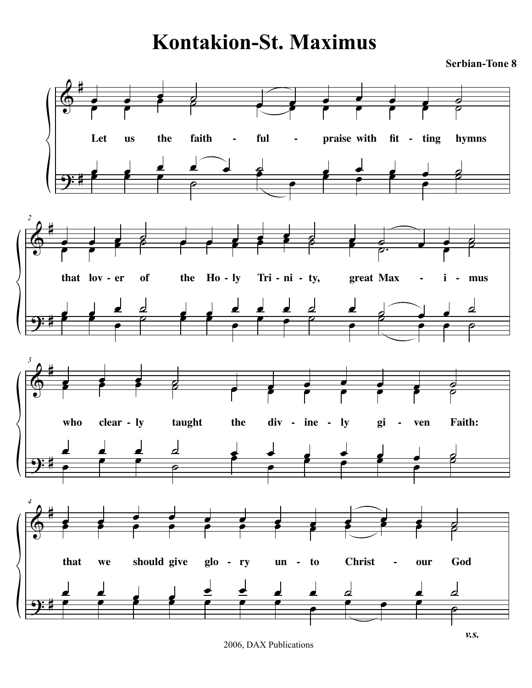## **Kontakion-St. Maximus**

**Serbian-Tone 8**



2006, DAX Publications